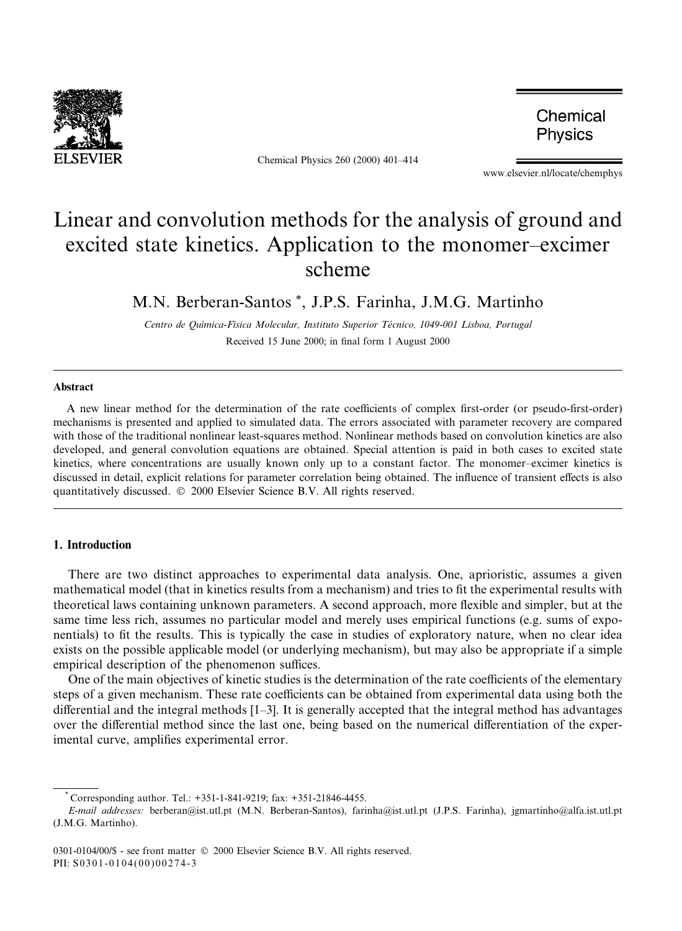

Chemical Physics 260 (2000) 401-414

Chemical Physics

www.elsevier.nl/locate/chemphys

# Linear and convolution methods for the analysis of ground and excited state kinetics. Application to the monomer-excimer scheme

M.N. Berberan-Santos \*, J.P.S. Farinha, J.M.G. Martinho

Centro de Quõmica-Fõsica Molecular, Instituto Superior Tecnico, 1049-001 Lisboa, Portugal Received 15 June 2000; in final form 1 August 2000

#### Abstract

A new linear method for the determination of the rate coefficients of complex first-order (or pseudo-first-order) mechanisms is presented and applied to simulated data. The errors associated with parameter recovery are compared with those of the traditional nonlinear least-squares method. Nonlinear methods based on convolution kinetics are also developed, and general convolution equations are obtained. Special attention is paid in both cases to excited state kinetics, where concentrations are usually known only up to a constant factor. The monomer-excimer kinetics is discussed in detail, explicit relations for parameter correlation being obtained. The influence of transient effects is also quantitatively discussed.  $© 2000$  Elsevier Science B.V. All rights reserved.

# 1. Introduction

There are two distinct approaches to experimental data analysis. One, aprioristic, assumes a given mathematical model (that in kinetics results from a mechanism) and tries to fit the experimental results with theoretical laws containing unknown parameters. A second approach, more flexible and simpler, but at the same time less rich, assumes no particular model and merely uses empirical functions (e.g. sums of exponentials) to fit the results. This is typically the case in studies of exploratory nature, when no clear idea exists on the possible applicable model (or underlying mechanism), but may also be appropriate if a simple empirical description of the phenomenon suffices.

One of the main objectives of kinetic studies is the determination of the rate coefficients of the elementary steps of a given mechanism. These rate coefficients can be obtained from experimental data using both the differential and the integral methods  $[1-3]$ . It is generally accepted that the integral method has advantages over the differential method since the last one, being based on the numerical differentiation of the experimental curve, amplifies experimental error.

 $\degree$  Corresponding author. Tel.: +351-1-841-9219: fax: +351-21846-4455.

E-mail addresses: berberan@ist.utl.pt (M.N. Berberan-Santos), farinha@ist.utl.pt (J.P.S. Farinha), jgmartinho@alfa.ist.utl.pt (J.M.G. Martinho).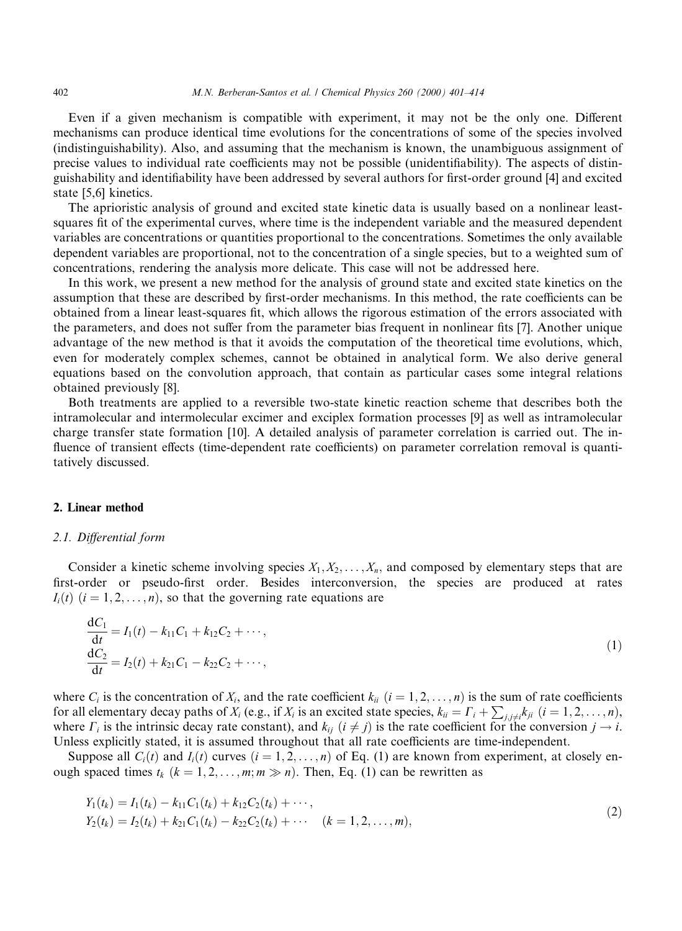Even if a given mechanism is compatible with experiment, it may not be the only one. Different mechanisms can produce identical time evolutions for the concentrations of some of the species involved (indistinguishability). Also, and assuming that the mechanism is known, the unambiguous assignment of precise values to individual rate coefficients may not be possible (unidentifiability). The aspects of distinguishability and identifiability have been addressed by several authors for first-order ground [4] and excited state [5,6] kinetics.

The aprioristic analysis of ground and excited state kinetic data is usually based on a nonlinear leastsquares fit of the experimental curves, where time is the independent variable and the measured dependent variables are concentrations or quantities proportional to the concentrations. Sometimes the only available dependent variables are proportional, not to the concentration of a single species, but to a weighted sum of concentrations, rendering the analysis more delicate. This case will not be addressed here.

In this work, we present a new method for the analysis of ground state and excited state kinetics on the assumption that these are described by first-order mechanisms. In this method, the rate coefficients can be obtained from a linear least-squares fit, which allows the rigorous estimation of the errors associated with the parameters, and does not suffer from the parameter bias frequent in nonlinear fits [7]. Another unique advantage of the new method is that it avoids the computation of the theoretical time evolutions, which, even for moderately complex schemes, cannot be obtained in analytical form. We also derive general equations based on the convolution approach, that contain as particular cases some integral relations obtained previously [8].

Both treatments are applied to a reversible two-state kinetic reaction scheme that describes both the intramolecular and intermolecular excimer and exciplex formation processes [9] as well as intramolecular charge transfer state formation [10]. A detailed analysis of parameter correlation is carried out. The in fluence of transient effects (time-dependent rate coefficients) on parameter correlation removal is quantitatively discussed.

#### 2. Linear method

#### 2.1. Differential form

Consider a kinetic scheme involving species  $X_1, X_2, \ldots, X_n$ , and composed by elementary steps that are first-order or pseudo-first order. Besides interconversion, the species are produced at rates  $I_i(t)$   $(i = 1, 2, \ldots, n)$ , so that the governing rate equations are

$$
\frac{dC_1}{dt} = I_1(t) - k_{11}C_1 + k_{12}C_2 + \cdots,
$$
  
\n
$$
\frac{dC_2}{dt} = I_2(t) + k_{21}C_1 - k_{22}C_2 + \cdots,
$$
\n(1)

where  $C_i$  is the concentration of  $X_i$ , and the rate coefficient  $k_{ii}$   $(i = 1, 2, \ldots, n)$  is the sum of rate coefficients for all elementary decay paths of  $X_i$  (e.g., if  $X_i$  is an excited state species,  $k_{ii} = \Gamma_i + \sum_{j,j \neq i} k_{ji}$   $(i = 1, 2, \ldots, n)$ , where  $\Gamma_i$  is the intrinsic decay rate constant), and  $k_{ij}$   $(i \neq j)$  is the rate coefficient for the conversion  $j \rightarrow i$ . Unless explicitly stated, it is assumed throughout that all rate coefficients are time-independent.

Suppose all  $C_i(t)$  and  $I_i(t)$  curves  $(i = 1, 2, ..., n)$  of Eq. (1) are known from experiment, at closely enough spaced times  $t_k$   $(k = 1, 2, ..., m; m \gg n)$ . Then, Eq. (1) can be rewritten as

$$
Y_1(t_k) = I_1(t_k) - k_{11}C_1(t_k) + k_{12}C_2(t_k) + \cdots,
$$
  
\n
$$
Y_2(t_k) = I_2(t_k) + k_{21}C_1(t_k) - k_{22}C_2(t_k) + \cdots \quad (k = 1, 2, \ldots, m),
$$
\n(2)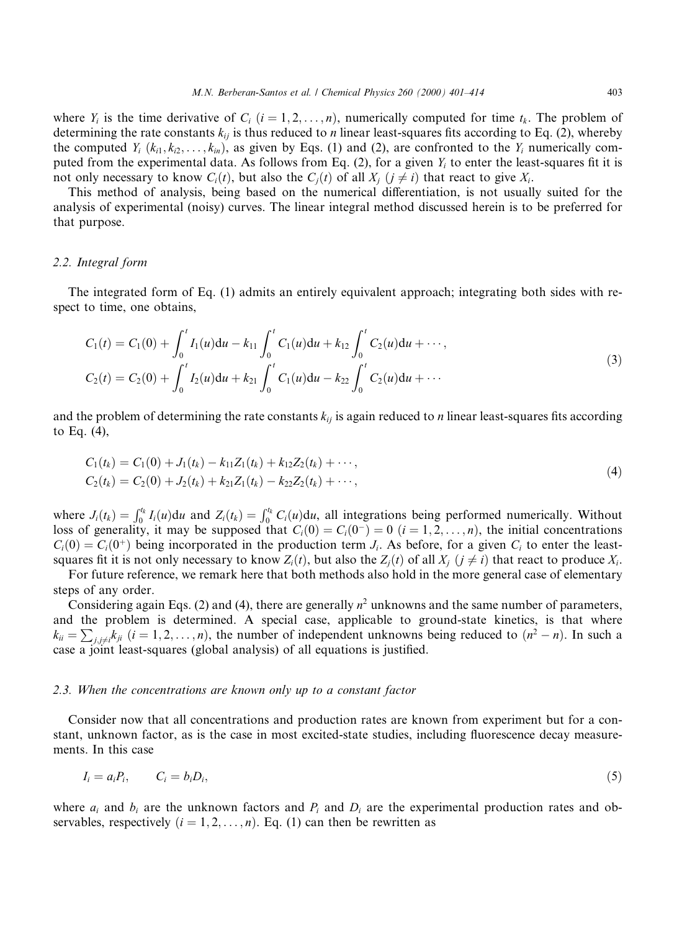where  $Y_i$  is the time derivative of  $C_i$   $(i = 1, 2, \ldots, n)$ , numerically computed for time  $t_k$ . The problem of determining the rate constants  $k_{ij}$  is thus reduced to *n* linear least-squares fits according to Eq. (2), whereby the computed  $Y_i$  ( $k_{i1}, k_{i2}, \ldots, k_{in}$ ), as given by Eqs. (1) and (2), are confronted to the  $Y_i$  numerically computed from the experimental data. As follows from Eq. (2), for a given  $Y_i$  to enter the least-squares fit it is not only necessary to know  $C_i(t)$ , but also the  $C_i(t)$  of all  $X_i$  ( $i \neq i$ ) that react to give  $X_i$ .

This method of analysis, being based on the numerical differentiation, is not usually suited for the analysis of experimental (noisy) curves. The linear integral method discussed herein is to be preferred for that purpose.

#### 2.2. Integral form

The integrated form of Eq. (1) admits an entirely equivalent approach; integrating both sides with respect to time, one obtains,

$$
C_1(t) = C_1(0) + \int_0^t I_1(u) du - k_{11} \int_0^t C_1(u) du + k_{12} \int_0^t C_2(u) du + \cdots,
$$
  
\n
$$
C_2(t) = C_2(0) + \int_0^t I_2(u) du + k_{21} \int_0^t C_1(u) du - k_{22} \int_0^t C_2(u) du + \cdots
$$
\n(3)

and the problem of determining the rate constants  $k_{ij}$  is again reduced to *n* linear least-squares fits according to Eq. (4),

$$
C_1(t_k) = C_1(0) + J_1(t_k) - k_{11}Z_1(t_k) + k_{12}Z_2(t_k) + \cdots,
$$
  
\n
$$
C_2(t_k) = C_2(0) + J_2(t_k) + k_{21}Z_1(t_k) - k_{22}Z_2(t_k) + \cdots,
$$
\n(4)

where  $J_i(t_k) = \int_0^{t_k} I_i(u) du$  and  $Z_i(t_k) = \int_0^{t_k} C_i(u) du$ , all integrations being performed numerically. Without loss of generality, it may be supposed that  $C_i(0) = C_i(0^-) = 0$   $(i = 1, 2, ..., n)$ , the initial concentrations  $C_i(0) = C_i(0^+)$  being incorporated in the production term  $J_i$ . As before, for a given  $C_i$  to enter the leastsquares fit it is not only necessary to know  $Z_i(t)$ , but also the  $Z_i(t)$  of all  $X_i$   $(i \neq i)$  that react to produce  $X_i$ .

For future reference, we remark here that both methods also hold in the more general case of elementary steps of any order.

Considering again Eqs. (2) and (4), there are generally  $n^2$  unknowns and the same number of parameters, and the problem is determined. A special case, applicable to ground-state kinetics, is that where  $k_{ii} = \sum_{j,j \neq i} k_{ji}$   $(i = 1, 2, ..., n)$ , the number of independent unknowns being reduced to  $(n^2 - n)$ . In such a case a joint least-squares (global analysis) of all equations is justified.

#### 2.3. When the concentrations are known only up to a constant factor

Consider now that all concentrations and production rates are known from experiment but for a constant, unknown factor, as is the case in most excited-state studies, including fluorescence decay measurements. In this case

$$
I_i = a_i P_i, \qquad C_i = b_i D_i,\tag{5}
$$

where  $a_i$  and  $b_i$  are the unknown factors and  $P_i$  and  $D_i$  are the experimental production rates and observables, respectively  $(i = 1, 2, ..., n)$ . Eq. (1) can then be rewritten as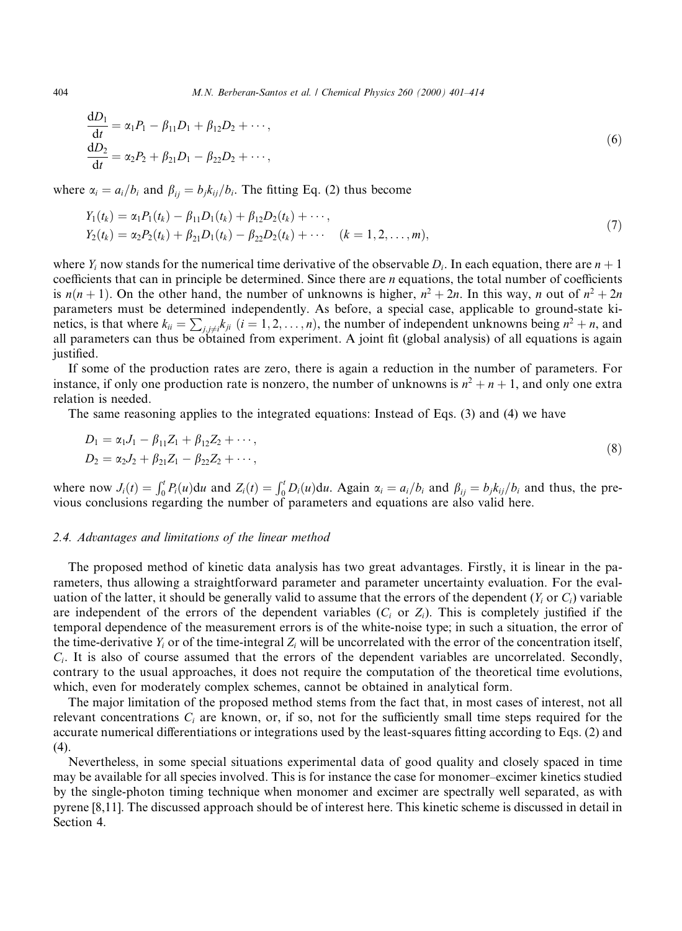$$
\frac{dD_1}{dt} = \alpha_1 P_1 - \beta_{11} D_1 + \beta_{12} D_2 + \cdots,
$$
  
\n
$$
\frac{dD_2}{dt} = \alpha_2 P_2 + \beta_{21} D_1 - \beta_{22} D_2 + \cdots,
$$
\n(6)

where  $\alpha_i=a_i/b_i$  and  $\beta_{ii}=b_i k_{ij}/b_i$ . The fitting Eq. (2) thus become

$$
Y_1(t_k) = \alpha_1 P_1(t_k) - \beta_{11} D_1(t_k) + \beta_{12} D_2(t_k) + \cdots,
$$
  
\n
$$
Y_2(t_k) = \alpha_2 P_2(t_k) + \beta_{21} D_1(t_k) - \beta_{22} D_2(t_k) + \cdots \quad (k = 1, 2, \ldots, m),
$$
\n(7)

where  $Y_i$  now stands for the numerical time derivative of the observable  $D_i$ . In each equation, there are  $n + 1$ coefficients that can in principle be determined. Since there are  $n$  equations, the total number of coefficients is  $n(n + 1)$ . On the other hand, the number of unknowns is higher,  $n^2 + 2n$ . In this way, n out of  $n^2 + 2n$ parameters must be determined independently. As before, a special case, applicable to ground-state kinetics, is that where  $k_{ii} = \sum_{j,j\neq i} k_{ji}$   $(i = 1, 2, ..., n)$ , the number of independent unknowns being  $n^2 + n$ , and all parameters can thus be obtained from experiment. A joint fit (global analysis) of all equations is again justified.

If some of the production rates are zero, there is again a reduction in the number of parameters. For instance, if only one production rate is nonzero, the number of unknowns is  $n^2 + n + 1$ , and only one extra relation is needed.

The same reasoning applies to the integrated equations: Instead of Eqs. (3) and (4) we have

$$
D_1 = \alpha_1 J_1 - \beta_{11} Z_1 + \beta_{12} Z_2 + \cdots,
$$
  
\n
$$
D_2 = \alpha_2 J_2 + \beta_{21} Z_1 - \beta_{22} Z_2 + \cdots,
$$
\n(8)

where now  $J_i(t) = \int_0^t P_i(u) du$  and  $Z_i(t) = \int_0^t D_i(u) du$ . Again  $\alpha_i = a_i/b_i$  and  $\beta_{ij} = b_j k_{ij}/b_i$  and thus, the previous conclusions regarding the number of parameters and equations are also valid here.

#### 2.4. Advantages and limitations of the linear method

The proposed method of kinetic data analysis has two great advantages. Firstly, it is linear in the parameters, thus allowing a straightforward parameter and parameter uncertainty evaluation. For the evaluation of the latter, it should be generally valid to assume that the errors of the dependent ( $Y_i$  or  $C_i$ ) variable are independent of the errors of the dependent variables ( $C_i$  or  $Z_i$ ). This is completely justified if the temporal dependence of the measurement errors is of the white-noise type; in such a situation, the error of the time-derivative  $Y_i$  or of the time-integral  $Z_i$  will be uncorrelated with the error of the concentration itself,  $C_i$ . It is also of course assumed that the errors of the dependent variables are uncorrelated. Secondly, contrary to the usual approaches, it does not require the computation of the theoretical time evolutions, which, even for moderately complex schemes, cannot be obtained in analytical form.

The major limitation of the proposed method stems from the fact that, in most cases of interest, not all relevant concentrations  $C_i$  are known, or, if so, not for the sufficiently small time steps required for the accurate numerical differentiations or integrations used by the least-squares fitting according to Eqs. (2) and (4).

Nevertheless, in some special situations experimental data of good quality and closely spaced in time may be available for all species involved. This is for instance the case for monomer–excimer kinetics studied by the single-photon timing technique when monomer and excimer are spectrally well separated, as with pyrene [8,11]. The discussed approach should be of interest here. This kinetic scheme is discussed in detail in Section 4.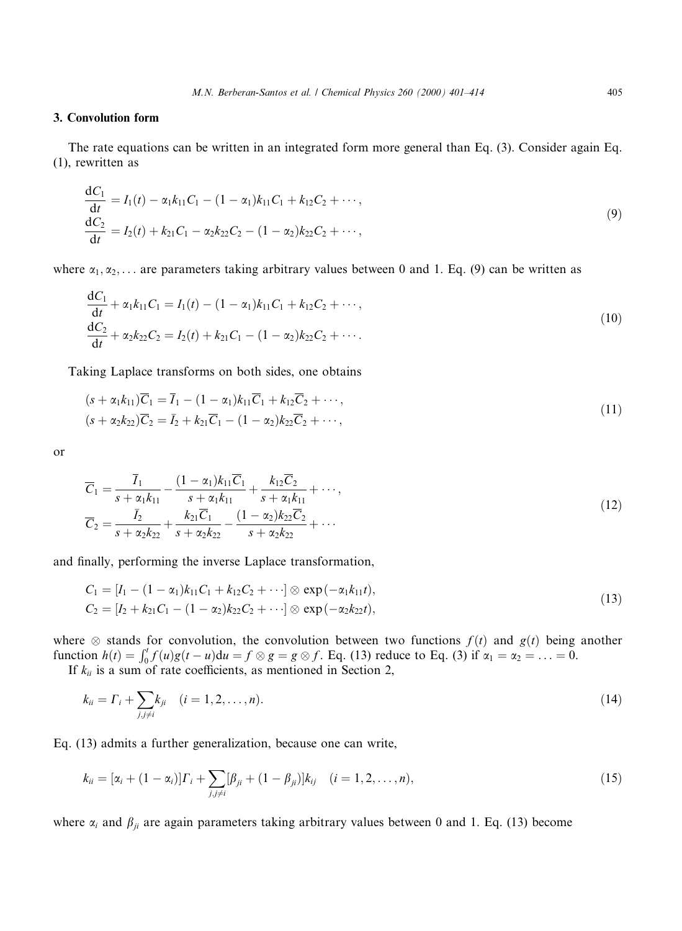# 3. Convolution form

The rate equations can be written in an integrated form more general than Eq. (3). Consider again Eq. (1), rewritten as

$$
\frac{dC_1}{dt} = I_1(t) - \alpha_1 k_{11} C_1 - (1 - \alpha_1) k_{11} C_1 + k_{12} C_2 + \cdots,
$$
  
\n
$$
\frac{dC_2}{dt} = I_2(t) + k_{21} C_1 - \alpha_2 k_{22} C_2 - (1 - \alpha_2) k_{22} C_2 + \cdots,
$$
\n(9)

where  $\alpha_1, \alpha_2, \ldots$  are parameters taking arbitrary values between 0 and 1. Eq. (9) can be written as

$$
\frac{dC_1}{dt} + \alpha_1 k_{11} C_1 = I_1(t) - (1 - \alpha_1) k_{11} C_1 + k_{12} C_2 + \cdots,
$$
  
\n
$$
\frac{dC_2}{dt} + \alpha_2 k_{22} C_2 = I_2(t) + k_{21} C_1 - (1 - \alpha_2) k_{22} C_2 + \cdots.
$$
\n(10)

Taking Laplace transforms on both sides, one obtains

$$
(s + \alpha_1 k_{11})\overline{C}_1 = \overline{I}_1 - (1 - \alpha_1)k_{11}\overline{C}_1 + k_{12}\overline{C}_2 + \cdots, (s + \alpha_2 k_{22})\overline{C}_2 = \overline{I}_2 + k_{21}\overline{C}_1 - (1 - \alpha_2)k_{22}\overline{C}_2 + \cdots,
$$
\n(11)

or

$$
\overline{C}_1 = \frac{\overline{I}_1}{s + \alpha_1 k_{11}} - \frac{(1 - \alpha_1) k_{11} \overline{C}_1}{s + \alpha_1 k_{11}} + \frac{k_{12} \overline{C}_2}{s + \alpha_1 k_{11}} + \cdots,
$$
\n
$$
\overline{C}_2 = \frac{\overline{I}_2}{s + \alpha_2 k_{22}} + \frac{k_{21} \overline{C}_1}{s + \alpha_2 k_{22}} - \frac{(1 - \alpha_2) k_{22} \overline{C}_2}{s + \alpha_2 k_{22}} + \cdots
$$
\n(12)

and finally, performing the inverse Laplace transformation,

$$
C_1 = [I_1 - (1 - \alpha_1)k_{11}C_1 + k_{12}C_2 + \cdots] \otimes \exp(-\alpha_1k_{11}t),
$$
  
\n
$$
C_2 = [I_2 + k_{21}C_1 - (1 - \alpha_2)k_{22}C_2 + \cdots] \otimes \exp(-\alpha_2k_{22}t),
$$
\n(13)

where  $\otimes$  stands for convolution, the convolution between two functions  $f(t)$  and  $g(t)$  being another function  $h(t) = \int_0^t f(u)g(t-u)du = f \otimes g = g \otimes f$ . Eq. (13) reduce to Eq. (3) if  $\alpha_1 = \alpha_2 = ... = 0$ .

If  $k_{ii}$  is a sum of rate coefficients, as mentioned in Section 2,

$$
k_{ii} = \Gamma_i + \sum_{j,j \neq i} k_{ji} \quad (i = 1, 2, \dots, n). \tag{14}
$$

Eq. (13) admits a further generalization, because one can write,

$$
k_{ii} = [\alpha_i + (1 - \alpha_i)]\Gamma_i + \sum_{j,j \neq i} [\beta_{ji} + (1 - \beta_{ji})]k_{ij} \quad (i = 1, 2, ..., n),
$$
\n(15)

where  $\alpha_i$  and  $\beta_{ji}$  are again parameters taking arbitrary values between 0 and 1. Eq. (13) become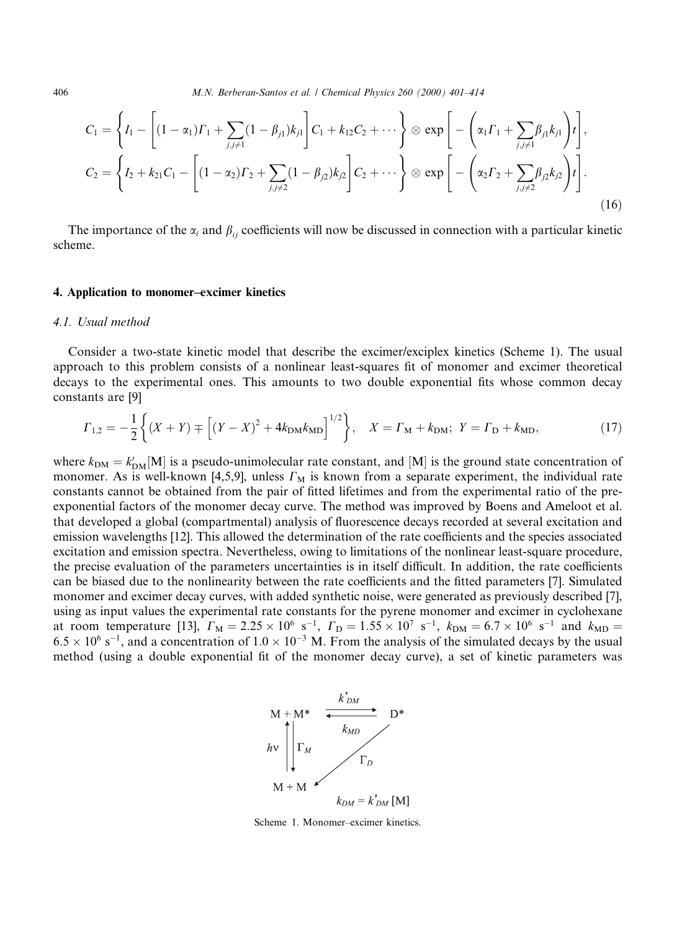406 M.N. Berberan-Santos et al. / Chemical Physics 260 (2000) 401-414

$$
C_1 = \left\{ I_1 - \left[ (1 - \alpha_1) \Gamma_1 + \sum_{j,j \neq 1} (1 - \beta_{j1}) k_{j1} \right] C_1 + k_{12} C_2 + \cdots \right\} \otimes \exp \left[ - \left( \alpha_1 \Gamma_1 + \sum_{j,j \neq 1} \beta_{j1} k_{j1} \right) t \right],
$$
  
\n
$$
C_2 = \left\{ I_2 + k_{21} C_1 - \left[ (1 - \alpha_2) \Gamma_2 + \sum_{j,j \neq 2} (1 - \beta_{j2}) k_{j2} \right] C_2 + \cdots \right\} \otimes \exp \left[ - \left( \alpha_2 \Gamma_2 + \sum_{j,j \neq 2} \beta_{j2} k_{j2} \right) t \right].
$$
\n(16)

The importance of the  $\alpha_i$  and  $\beta_{ij}$  coefficients will now be discussed in connection with a particular kinetic scheme.

#### 4. Application to monomer-excimer kinetics

### 4.1. Usual method

Consider a two-state kinetic model that describe the excimer/exciplex kinetics (Scheme 1). The usual approach to this problem consists of a nonlinear least-squares fit of monomer and excimer theoretical decays to the experimental ones. This amounts to two double exponential fits whose common decay constants are [9]

$$
\Gamma_{1,2} = -\frac{1}{2} \left\{ (X+Y) \mp \left[ (Y-X)^2 + 4k_{\text{DM}}k_{\text{MD}} \right]^{1/2} \right\}, \quad X = \Gamma_{\text{M}} + k_{\text{DM}}; \quad Y = \Gamma_{\text{D}} + k_{\text{MD}}, \tag{17}
$$

where  $k_{DM} = k'_{DM}$ [M] is a pseudo-unimolecular rate constant, and [M] is the ground state concentration of monomer. As is well-known [4,5,9], unless  $\Gamma_M$  is known from a separate experiment, the individual rate constants cannot be obtained from the pair of fitted lifetimes and from the experimental ratio of the preexponential factors of the monomer decay curve. The method was improved by Boens and Ameloot et al. that developed a global (compartmental) analysis of fluorescence decays recorded at several excitation and emission wavelengths [12]. This allowed the determination of the rate coefficients and the species associated excitation and emission spectra. Nevertheless, owing to limitations of the nonlinear least-square procedure, the precise evaluation of the parameters uncertainties is in itself difficult. In addition, the rate coefficients can be biased due to the nonlinearity between the rate coefficients and the fitted parameters [7]. Simulated monomer and excimer decay curves, with added synthetic noise, were generated as previously described [7], using as input values the experimental rate constants for the pyrene monomer and excimer in cyclohexane at room temperature [13],  $\Gamma_M = 2.25 \times 10^6 \text{ s}^{-1}$ ,  $\Gamma_D = 1.55 \times 10^7 \text{ s}^{-1}$ ,  $k_{DM} = 6.7 \times 10^6 \text{ s}^{-1}$  and  $k_{MD} =$  $6.5 \times 10^6$  s<sup>-1</sup>, and a concentration of  $1.0 \times 10^{-3}$  M. From the analysis of the simulated decays by the usual method (using a double exponential fit of the monomer decay curve), a set of kinetic parameters was



Scheme 1. Monomer-excimer kinetics.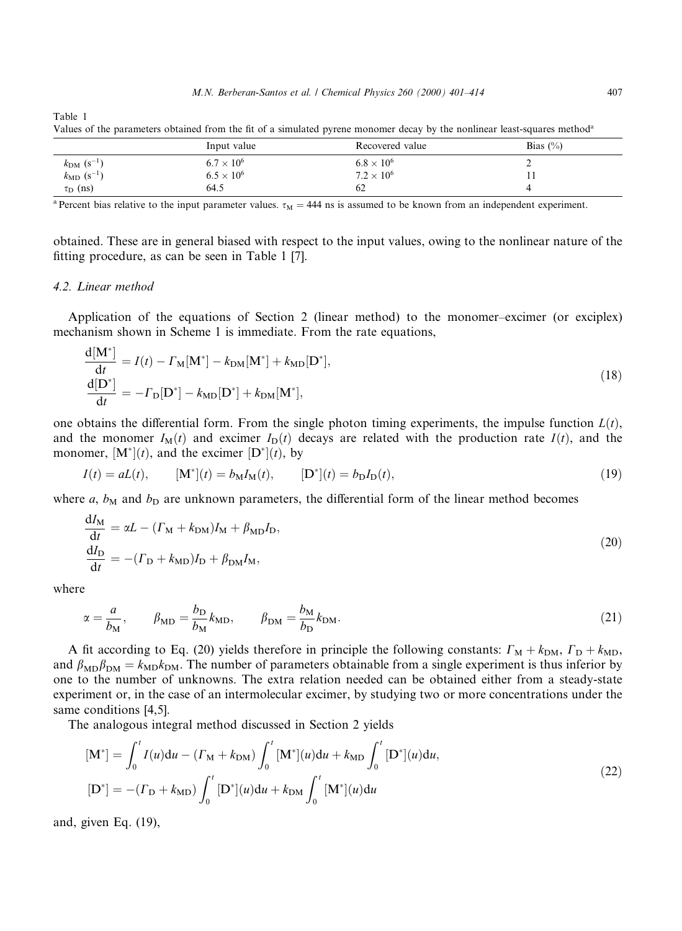|                                 |                     | . .                 |              |  |
|---------------------------------|---------------------|---------------------|--------------|--|
|                                 | Input value         | Recovered value     | Bias $(\% )$ |  |
| $k_{\rm DM}$ (s <sup>-1</sup> ) | $6.7 \times 10^{6}$ | $6.8 \times 10^{6}$ | ∽            |  |
| $k_{\rm MD}$ (s <sup>-1</sup> ) | $6.5 \times 10^{6}$ | $7.2 \times 10^{6}$ | <b>TT</b>    |  |
| $\tau_{\rm D}$ (ns)             | 64.5                | 62                  |              |  |

Values of the parameters obtained from the fit of a simulated pyrene monomer decay by the nonlinear least-squares method<sup>a</sup>

<sup>a</sup> Percent bias relative to the input parameter values.  $\tau_M = 444$  ns is assumed to be known from an independent experiment.

obtained. These are in general biased with respect to the input values, owing to the nonlinear nature of the fitting procedure, as can be seen in Table 1 [7].

# 4.2. Linear method

Table 1

Application of the equations of Section 2 (linear method) to the monomer-excimer (or exciplex) mechanism shown in Scheme 1 is immediate. From the rate equations,

$$
\frac{d[M^*]}{dt} = I(t) - \Gamma_M[M^*] - k_{DM}[M^*] + k_{MD}[D^*],
$$
\n
$$
\frac{d[D^*]}{dt} = -\Gamma_D[D^*] - k_{MD}[D^*] + k_{DM}[M^*],
$$
\n(18)

one obtains the differential form. From the single photon timing experiments, the impulse function  $L(t)$ , and the monomer  $I_M(t)$  and excimer  $I_D(t)$  decays are related with the production rate  $I(t)$ , and the monomer,  $[M^*](t)$ , and the excimer  $[D^*](t)$ , by

$$
I(t) = aL(t), \t[M^*](t) = b_M I_M(t), \t[D^*](t) = b_D I_D(t), \t(19)
$$

where a,  $b_M$  and  $b_D$  are unknown parameters, the differential form of the linear method becomes

$$
\frac{dI_M}{dt} = \alpha L - (F_M + k_{DM})I_M + \beta_{MD}I_D,
$$
  
\n
$$
\frac{dI_D}{dt} = -(F_D + k_{MD})I_D + \beta_{DM}I_M,
$$
\n(20)

where

 $\overline{1}$ 

$$
\alpha = \frac{a}{b_M}, \qquad \beta_{\rm MD} = \frac{b_{\rm D}}{b_M} k_{\rm MD}, \qquad \beta_{\rm DM} = \frac{b_M}{b_{\rm D}} k_{\rm DM}.
$$

A fit according to Eq. (20) yields therefore in principle the following constants:  $\Gamma_M + k_{DM}$ ,  $\Gamma_D + k_{MD}$ , and  $\beta_{MD}\beta_{DM} = k_{MD}k_{DM}$ . The number of parameters obtainable from a single experiment is thus inferior by one to the number of unknowns. The extra relation needed can be obtained either from a steady-state experiment or, in the case of an intermolecular excimer, by studying two or more concentrations under the same conditions [4,5].

The analogous integral method discussed in Section 2 yields

$$
[\mathbf{M}^*] = \int_0^t I(u) \mathrm{d}u - ( \Gamma_\mathbf{M} + k_{\mathbf{DM}}) \int_0^t [\mathbf{M}^*](u) \mathrm{d}u + k_{\mathbf{MD}} \int_0^t [\mathbf{D}^*](u) \mathrm{d}u,
$$
  
\n
$$
[\mathbf{D}^*] = -(\Gamma_\mathbf{D} + k_{\mathbf{MD}}) \int_0^t [\mathbf{D}^*](u) \mathrm{d}u + k_{\mathbf{DM}} \int_0^t [\mathbf{M}^*](u) \mathrm{d}u
$$
\n(22)

and, given Eq. (19),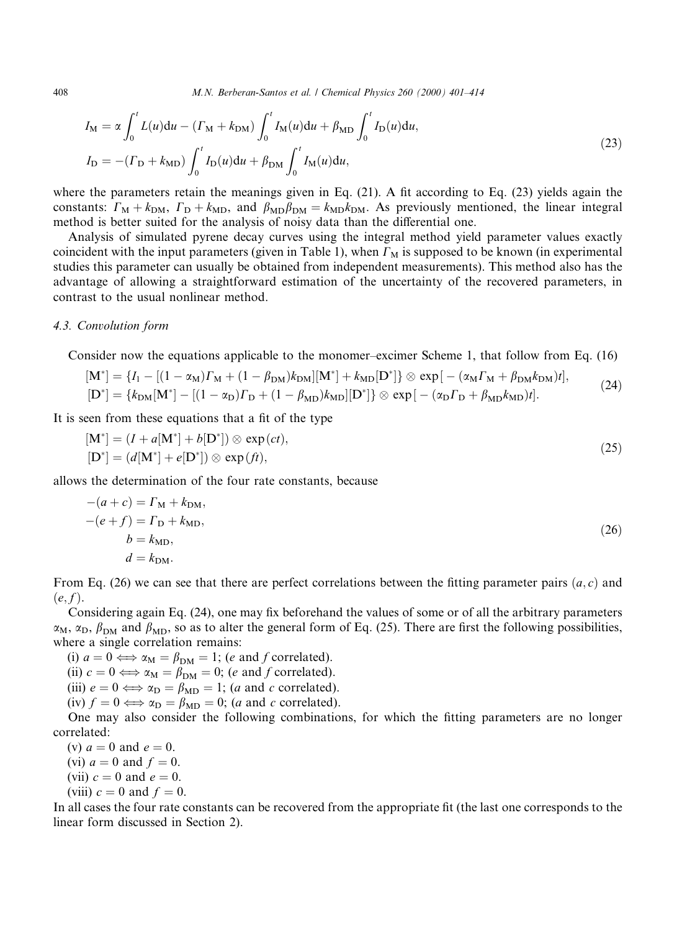408 M.N. Berberan-Santos et al. / Chemical Physics 260 (2000) 401-414

$$
I_{\rm M} = \alpha \int_0^t L(u) \mathrm{d}u - (F_{\rm M} + k_{\rm DM}) \int_0^t I_{\rm M}(u) \mathrm{d}u + \beta_{\rm MD} \int_0^t I_{\rm D}(u) \mathrm{d}u,
$$
  
\n
$$
I_{\rm D} = -(F_{\rm D} + k_{\rm MD}) \int_0^t I_{\rm D}(u) \mathrm{d}u + \beta_{\rm DM} \int_0^t I_{\rm M}(u) \mathrm{d}u,
$$
\n(23)

where the parameters retain the meanings given in Eq.  $(21)$ . A fit according to Eq.  $(23)$  yields again the constants:  $\Gamma_M + k_{DM}$ ,  $\Gamma_D + k_{MD}$ , and  $\beta_{MD}\beta_{DM} = k_{MD}k_{DM}$ . As previously mentioned, the linear integral method is better suited for the analysis of noisy data than the differential one.

Analysis of simulated pyrene decay curves using the integral method yield parameter values exactly coincident with the input parameters (given in Table 1), when  $\Gamma_M$  is supposed to be known (in experimental studies this parameter can usually be obtained from independent measurements). This method also has the advantage of allowing a straightforward estimation of the uncertainty of the recovered parameters, in contrast to the usual nonlinear method.

## 4.3. Convolution form

Consider now the equations applicable to the monomer-excimer Scheme 1, that follow from Eq. (16)

$$
[M^*] = \{I_1 - [(1 - \alpha_M) \Gamma_M + (1 - \beta_{DM}) k_{DM}] [M^*] + k_{MD} [D^*] \} \otimes \exp[-(\alpha_M \Gamma_M + \beta_{DM} k_{DM}) t],
$$
  
\n
$$
[D^*] = \{k_{DM} [M^*] - [(1 - \alpha_D) \Gamma_D + (1 - \beta_{MD}) k_{MD}] [D^*] \} \otimes \exp[-(\alpha_D \Gamma_D + \beta_{MD} k_{MD}) t].
$$
\n(24)

It is seen from these equations that a fit of the type

$$
[M^*] = (I + a[M^*] + b[D^*]) \otimes \exp(ct),
$$
  
\n
$$
[D^*] = (d[M^*] + e[D^*]) \otimes \exp(t),
$$
\n(25)

allows the determination of the four rate constants, because

$$
-(a + c) = \Gamma_{\text{M}} + k_{\text{DM}},
$$
  

$$
-(e + f) = \Gamma_{\text{D}} + k_{\text{MD}},
$$
  

$$
b = k_{\text{MD}},
$$
  

$$
d = k_{\text{DM}}.
$$
  
(26)

From Eq. (26) we can see that there are perfect correlations between the fitting parameter pairs  $(a, c)$  and  $(e, f)$ .

Considering again Eq. (24), one may fix beforehand the values of some or of all the arbitrary parameters  $\alpha_M$ ,  $\alpha_D$ ,  $\beta_{DM}$  and  $\beta_{MD}$ , so as to alter the general form of Eq. (25). There are first the following possibilities, where a single correlation remains:

(i)  $a = 0 \Longleftrightarrow \alpha_M = \beta_{DM} = 1$ ; (e and f correlated). (ii)  $c = 0 \Longleftrightarrow \alpha_M = \beta_{DM} = 0$ ; (e and f correlated). (iii)  $e = 0 \Longleftrightarrow \alpha_{\text{D}} = \beta_{\text{MD}} = 1$ ; (*a* and *c* correlated). (iv)  $f = 0 \Longleftrightarrow \alpha_{\text{D}} = \beta_{\text{MD}} = 0$ ; (a and c correlated). One may also consider the following combinations, for which the fitting parameters are no longer correlated:

(v)  $a = 0$  and  $e = 0$ . (vi)  $a = 0$  and  $f = 0$ .

(vii)  $c = 0$  and  $e = 0$ .

(viii)  $c = 0$  and  $f = 0$ .

In all cases the four rate constants can be recovered from the appropriate fit (the last one corresponds to the linear form discussed in Section 2).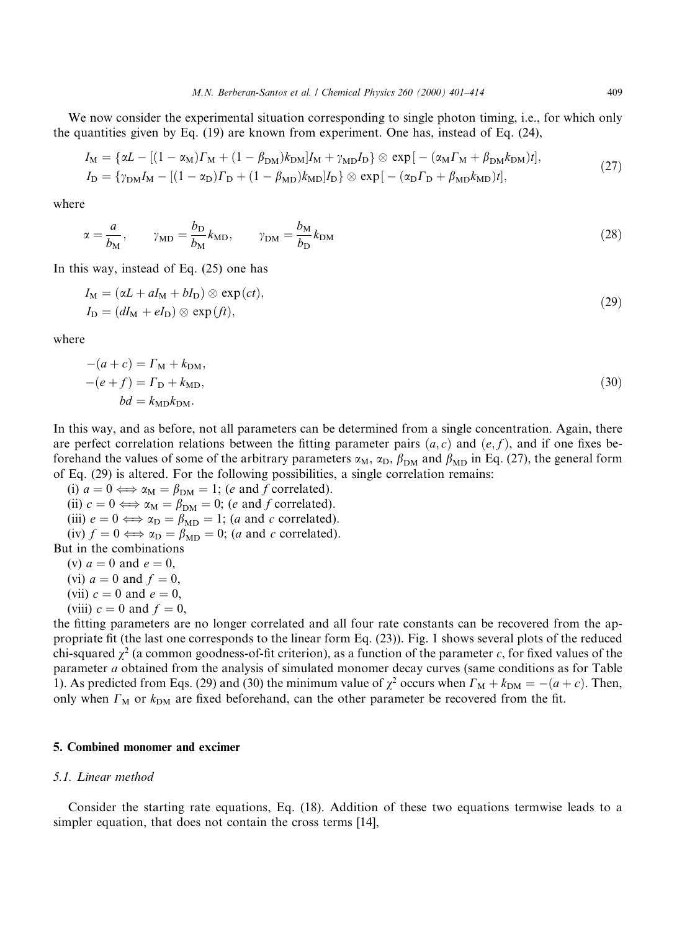We now consider the experimental situation corresponding to single photon timing, i.e., for which only the quantities given by Eq. (19) are known from experiment. One has, instead of Eq. (24),

$$
I_{\rm M} = \{ \alpha L - \left[ (1 - \alpha_{\rm M}) \Gamma_{\rm M} + (1 - \beta_{\rm DM}) k_{\rm DM} \right] I_{\rm M} + \gamma_{\rm MD} I_{\rm D} \} \otimes \exp \left[ - (\alpha_{\rm M} \Gamma_{\rm M} + \beta_{\rm DM} k_{\rm DM}) t \right],
$$
  
\n
$$
I_{\rm D} = \{ \gamma_{\rm DM} I_{\rm M} - \left[ (1 - \alpha_{\rm D}) \Gamma_{\rm D} + (1 - \beta_{\rm MD}) k_{\rm MD} \right] I_{\rm D} \} \otimes \exp \left[ - (\alpha_{\rm D} \Gamma_{\rm D} + \beta_{\rm MD} k_{\rm MD}) t \right],
$$
\n(27)

where

$$
\alpha = \frac{a}{b_M}, \qquad \gamma_{\rm MD} = \frac{b_{\rm D}}{b_M} k_{\rm MD}, \qquad \gamma_{\rm DM} = \frac{b_M}{b_D} k_{\rm DM}
$$
 (28)

In this way, instead of Eq. (25) one has

$$
I_{\mathbf{M}} = (\alpha L + aI_{\mathbf{M}} + bI_{\mathbf{D}}) \otimes \exp(ct),
$$
  
\n
$$
I_{\mathbf{D}} = (dI_{\mathbf{M}} + eI_{\mathbf{D}}) \otimes \exp(ft),
$$
\n(29)

where

$$
-(a+c) = \Gamma_{\rm M} + k_{\rm DM},
$$
  

$$
-(e+f) = \Gamma_{\rm D} + k_{\rm MD},
$$
  

$$
bd = k_{\rm MD}k_{\rm DM}.
$$
  
(30)

In this way, and as before, not all parameters can be determined from a single concentration. Again, there are perfect correlation relations between the fitting parameter pairs  $(a, c)$  and  $(e, f)$ , and if one fixes beforehand the values of some of the arbitrary parameters  $\alpha_M$ ,  $\alpha_D$ ,  $\beta_{DM}$  and  $\beta_{MD}$  in Eq. (27), the general form of Eq. (29) is altered. For the following possibilities, a single correlation remains:

(i)  $a = 0 \Longleftrightarrow \alpha_M = \beta_{DM} = 1$ ; (e and f correlated). (ii)  $c = 0 \Longleftrightarrow \alpha_M = \beta_{DM} = 0$ ; (e and f correlated). (iii)  $e = 0 \Longleftrightarrow \alpha_{D} = \beta_{MD} = 1$ ; (*a* and *c* correlated). (iv)  $f = 0 \Longleftrightarrow \alpha_{D} = \beta_{MD} = 0$ ; (a and c correlated). But in the combinations (v)  $a = 0$  and  $e = 0$ , (vi)  $a = 0$  and  $f = 0$ ,

(vii)  $c = 0$  and  $e = 0$ ,

(viii)  $c = 0$  and  $f = 0$ ,

the fitting parameters are no longer correlated and all four rate constants can be recovered from the appropriate fit (the last one corresponds to the linear form Eq.  $(23)$ ). Fig. 1 shows several plots of the reduced chi-squared  $\chi^2$  (a common goodness-of-fit criterion), as a function of the parameter c, for fixed values of the parameter a obtained from the analysis of simulated monomer decay curves (same conditions as for Table 1). As predicted from Eqs. (29) and (30) the minimum value of  $\chi^2$  occurs when  $\Gamma_M + k_{DM} = -(a+c)$ . Then, only when  $\Gamma_M$  or  $k_{DM}$  are fixed beforehand, can the other parameter be recovered from the fit.

#### 5. Combined monomer and excimer

# 5.1. Linear method

Consider the starting rate equations, Eq. (18). Addition of these two equations termwise leads to a simpler equation, that does not contain the cross terms [14],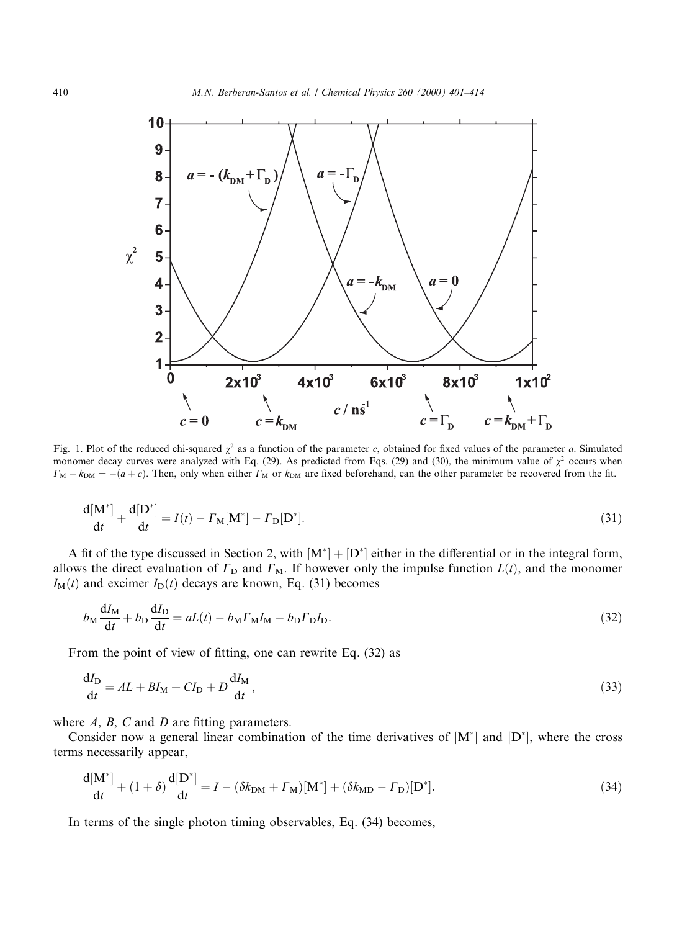

Fig. 1. Plot of the reduced chi-squared  $\chi^2$  as a function of the parameter c, obtained for fixed values of the parameter a. Simulated monomer decay curves were analyzed with Eq. (29). As predicted from Eqs. (29) and (30), the minimum value of  $\chi^2$  occurs when  $\Gamma_M + k_{\text{DM}} = -(a+c)$ . Then, only when either  $\Gamma_M$  or  $k_{\text{DM}}$  are fixed beforehand, can the other parameter be recovered from the fit.

$$
\frac{\mathrm{d}[\mathbf{M}^*]}{\mathrm{d}t} + \frac{\mathrm{d}[\mathbf{D}^*]}{\mathrm{d}t} = I(t) - \Gamma_{\mathbf{M}}[\mathbf{M}^*] - \Gamma_{\mathbf{D}}[\mathbf{D}^*].
$$
\n(31)

A fit of the type discussed in Section 2, with  $[M^*] + [D^*]$  either in the differential or in the integral form, allows the direct evaluation of  $\Gamma_{\text{D}}$  and  $\Gamma_{\text{M}}$ . If however only the impulse function  $L(t)$ , and the monomer  $I_M(t)$  and excimer  $I_D(t)$  decays are known, Eq. (31) becomes

$$
b_{\rm M} \frac{\mathrm{d}I_{\rm M}}{\mathrm{d}t} + b_{\rm D} \frac{\mathrm{d}I_{\rm D}}{\mathrm{d}t} = aL(t) - b_{\rm M} \Gamma_{\rm M} I_{\rm M} - b_{\rm D} \Gamma_{\rm D} I_{\rm D}.
$$
\n(32)

From the point of view of fitting, one can rewrite Eq.  $(32)$  as

$$
\frac{dI_D}{dt} = AL + BI_M + CI_D + D\frac{dI_M}{dt},\tag{33}
$$

where  $A$ ,  $B$ ,  $C$  and  $D$  are fitting parameters.

Consider now a general linear combination of the time derivatives of  $[M^*]$  and  $[D^*]$ , where the cross terms necessarily appear,

$$
\frac{\mathrm{d}[\mathbf{M}^*]}{\mathrm{d}t} + (1+\delta)\frac{\mathrm{d}[\mathbf{D}^*]}{\mathrm{d}t} = I - (\delta k_{\mathrm{DM}} + \Gamma_{\mathrm{M}})[\mathbf{M}^*] + (\delta k_{\mathrm{MD}} - \Gamma_{\mathrm{D}})[\mathbf{D}^*].
$$
\n(34)

In terms of the single photon timing observables, Eq. (34) becomes,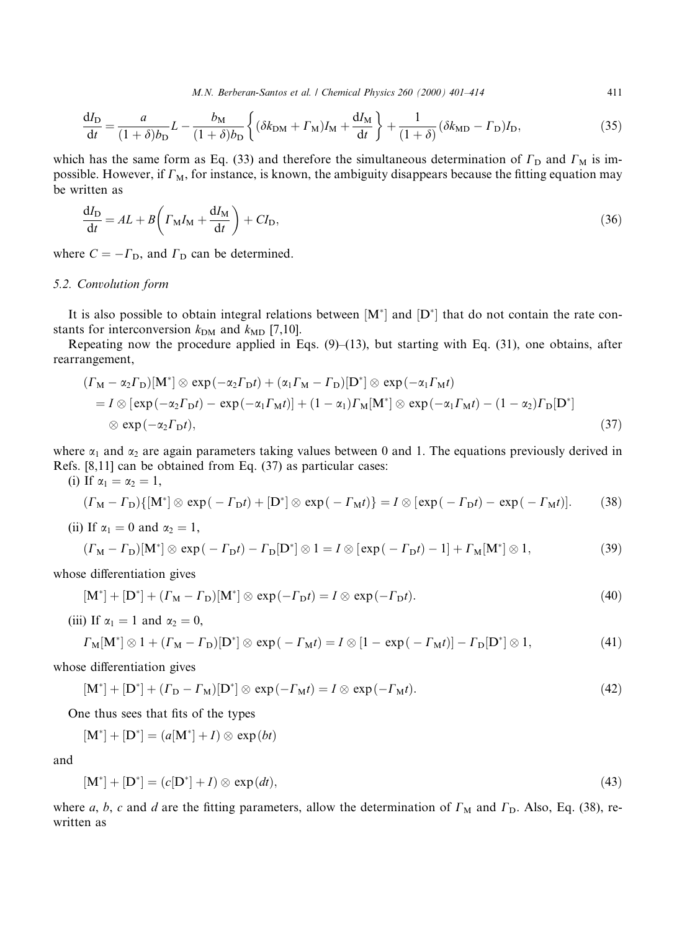M.N. Berberan-Santos et al. / Chemical Physics 260 (2000) 401-414 411

$$
\frac{dI_D}{dt} = \frac{a}{(1+\delta)b_D}L - \frac{b_M}{(1+\delta)b_D} \left\{ (\delta k_{DM} + \Gamma_M)I_M + \frac{dI_M}{dt} \right\} + \frac{1}{(1+\delta)} (\delta k_{MD} - \Gamma_D)I_D,
$$
\n(35)

which has the same form as Eq. (33) and therefore the simultaneous determination of  $\Gamma_{\text{D}}$  and  $\Gamma_{\text{M}}$  is impossible. However, if  $\Gamma_M$ , for instance, is known, the ambiguity disappears because the fitting equation may be written as

$$
\frac{dI_D}{dt} = AL + B\left(\Gamma_M I_M + \frac{dI_M}{dt}\right) + CI_D,
$$
\n(36)

where  $C = -\Gamma_{\text{D}}$ , and  $\Gamma_{\text{D}}$  can be determined.

#### 5.2. Convolution form

It is also possible to obtain integral relations between  $[M^*]$  and  $[D^*]$  that do not contain the rate constants for interconversion  $k_{DM}$  and  $k_{MD}$  [7,10].

Repeating now the procedure applied in Eqs.  $(9)$ – $(13)$ , but starting with Eq. (31), one obtains, after rearrangement,

$$
(F_M - \alpha_2 F_D)[M^*] \otimes \exp(-\alpha_2 F_D t) + (\alpha_1 F_M - F_D)[D^*] \otimes \exp(-\alpha_1 F_M t)
$$
  
=  $I \otimes [\exp(-\alpha_2 F_D t) - \exp(-\alpha_1 F_M t)] + (1 - \alpha_1) F_M[M^*] \otimes \exp(-\alpha_1 F_M t) - (1 - \alpha_2) F_D[D^*]$   
 $\otimes \exp(-\alpha_2 F_D t),$  (37)

where  $\alpha_1$  and  $\alpha_2$  are again parameters taking values between 0 and 1. The equations previously derived in Refs. [8,11] can be obtained from Eq. (37) as particular cases:

(i) If 
$$
\alpha_1 = \alpha_2 = 1
$$
,

$$
(\Gamma_M - \Gamma_D)\{[M^*] \otimes \exp(-\Gamma_D t) + [D^*] \otimes \exp(-\Gamma_M t)\} = I \otimes [\exp(-\Gamma_D t) - \exp(-\Gamma_M t)]. \tag{38}
$$

(ii) If  $\alpha_1 = 0$  and  $\alpha_2 = 1$ ,

$$
(\Gamma_{\mathbf{M}} - \Gamma_{\mathbf{D}})[\mathbf{M}^*] \otimes \exp(-\Gamma_{\mathbf{D}}t) - \Gamma_{\mathbf{D}}[\mathbf{D}^*] \otimes 1 = I \otimes [\exp(-\Gamma_{\mathbf{D}}t) - 1] + \Gamma_{\mathbf{M}}[\mathbf{M}^*] \otimes 1, \tag{39}
$$

whose differentiation gives

$$
[\mathbf{M}^*] + [\mathbf{D}^*] + (F_{\mathbf{M}} - F_{\mathbf{D}})[\mathbf{M}^*] \otimes \exp(-F_{\mathbf{D}}t) = I \otimes \exp(-F_{\mathbf{D}}t). \tag{40}
$$

(iii) If  $\alpha_1 = 1$  and  $\alpha_2 = 0$ ,

$$
\Gamma_{\mathbf{M}}[\mathbf{M}^*] \otimes 1 + (\Gamma_{\mathbf{M}} - \Gamma_{\mathbf{D}})[\mathbf{D}^*] \otimes \exp(-\Gamma_{\mathbf{M}}t) = I \otimes [1 - \exp(-\Gamma_{\mathbf{M}}t)] - \Gamma_{\mathbf{D}}[\mathbf{D}^*] \otimes 1, \tag{41}
$$

whose differentiation gives

$$
[\mathbf{M}^*] + [\mathbf{D}^*] + (F_{\mathbf{D}} - F_{\mathbf{M}})[\mathbf{D}^*] \otimes \exp(-F_{\mathbf{M}}t) = I \otimes \exp(-F_{\mathbf{M}}t). \tag{42}
$$

One thus sees that fits of the types

 $[M^*] + [D^*] = (a[M^*] + I) \otimes \exp(bt)$ 

and

$$
[\mathbf{M}^*] + [\mathbf{D}^*] = (c[\mathbf{D}^*] + I) \otimes \exp(dt),\tag{43}
$$

where a, b, c and d are the fitting parameters, allow the determination of  $\Gamma_M$  and  $\Gamma_D$ . Also, Eq. (38), rewritten as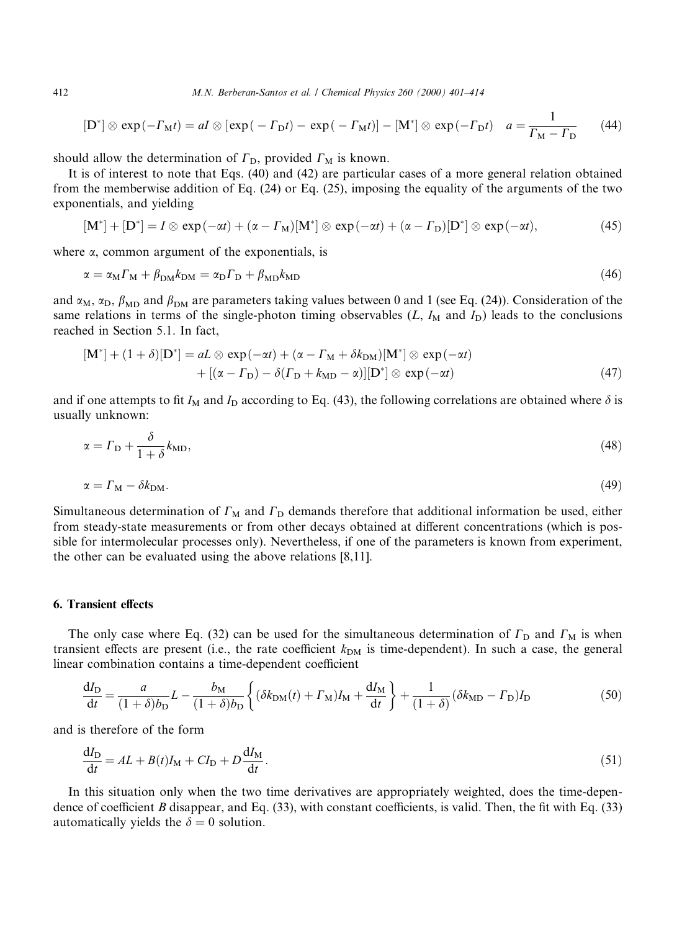412 M.N. Berberan-Santos et al. / Chemical Physics 260 (2000) 401-414

$$
[\mathbf{D}^*] \otimes \exp(-\Gamma_{\mathbf{M}}t) = aI \otimes [\exp(-\Gamma_{\mathbf{D}}t) - \exp(-\Gamma_{\mathbf{M}}t)] - [\mathbf{M}^*] \otimes \exp(-\Gamma_{\mathbf{D}}t) \quad a = \frac{1}{\Gamma_{\mathbf{M}} - \Gamma_{\mathbf{D}}} \tag{44}
$$

should allow the determination of  $\Gamma_{\text{D}}$ , provided  $\Gamma_{\text{M}}$  is known.

It is of interest to note that Eqs. (40) and (42) are particular cases of a more general relation obtained from the memberwise addition of Eq. (24) or Eq. (25), imposing the equality of the arguments of the two exponentials, and yielding

$$
[\mathbf{M}^*] + [\mathbf{D}^*] = I \otimes \exp(-\alpha t) + (\alpha - \Gamma_{\mathbf{M}})[\mathbf{M}^*] \otimes \exp(-\alpha t) + (\alpha - \Gamma_{\mathbf{D}})[\mathbf{D}^*] \otimes \exp(-\alpha t), \tag{45}
$$

where  $\alpha$ , common argument of the exponentials, is

$$
\alpha = \alpha_{\rm M} \Gamma_{\rm M} + \beta_{\rm DM} k_{\rm DM} = \alpha_{\rm D} \Gamma_{\rm D} + \beta_{\rm MD} k_{\rm MD}
$$
\n(46)

and  $\alpha_M$ ,  $\alpha_D$ ,  $\beta_{MD}$  and  $\beta_{DM}$  are parameters taking values between 0 and 1 (see Eq. (24)). Consideration of the same relations in terms of the single-photon timing observables  $(L, I<sub>M</sub>$  and  $I<sub>D</sub>)$  leads to the conclusions reached in Section 5.1. In fact,

$$
[\mathbf{M}^*] + (1+\delta)[\mathbf{D}^*] = aL \otimes \exp(-\alpha t) + (\alpha - \Gamma_{\mathbf{M}} + \delta k_{\mathbf{DM}})[\mathbf{M}^*] \otimes \exp(-\alpha t) + [(\alpha - \Gamma_{\mathbf{D}}) - \delta(\Gamma_{\mathbf{D}} + k_{\mathbf{MD}} - \alpha)][\mathbf{D}^*] \otimes \exp(-\alpha t)
$$
\n(47)

and if one attempts to fit I<sub>M</sub> and I<sub>D</sub> according to Eq. (43), the following correlations are obtained where  $\delta$  is usually unknown:

$$
\alpha = \Gamma_{\rm D} + \frac{\delta}{1 + \delta} k_{\rm MD},\tag{48}
$$

$$
\alpha = \Gamma_{\rm M} - \delta k_{\rm DM}.\tag{49}
$$

Simultaneous determination of  $\Gamma_{\text{M}}$  and  $\Gamma_{\text{D}}$  demands therefore that additional information be used, either from steady-state measurements or from other decays obtained at different concentrations (which is possible for intermolecular processes only). Nevertheless, if one of the parameters is known from experiment, the other can be evaluated using the above relations [8,11].

#### 6. Transient effects

The only case where Eq. (32) can be used for the simultaneous determination of  $\Gamma_{\text{D}}$  and  $\Gamma_{\text{M}}$  is when transient effects are present (i.e., the rate coefficient  $k_{DM}$  is time-dependent). In such a case, the general linear combination contains a time-dependent coefficient

$$
\frac{dI_D}{dt} = \frac{a}{(1+\delta)b_D}L - \frac{b_M}{(1+\delta)b_D} \left\{ (\delta k_{DM}(t) + \Gamma_M)I_M + \frac{dI_M}{dt} \right\} + \frac{1}{(1+\delta)} (\delta k_{MD} - \Gamma_D)I_D \tag{50}
$$

and is therefore of the form

$$
\frac{dI_D}{dt} = AL + B(t)I_M + CI_D + D\frac{dI_M}{dt}.\tag{51}
$$

In this situation only when the two time derivatives are appropriately weighted, does the time-dependence of coefficient B disappear, and Eq.  $(33)$ , with constant coefficients, is valid. Then, the fit with Eq.  $(33)$ automatically yields the  $\delta = 0$  solution.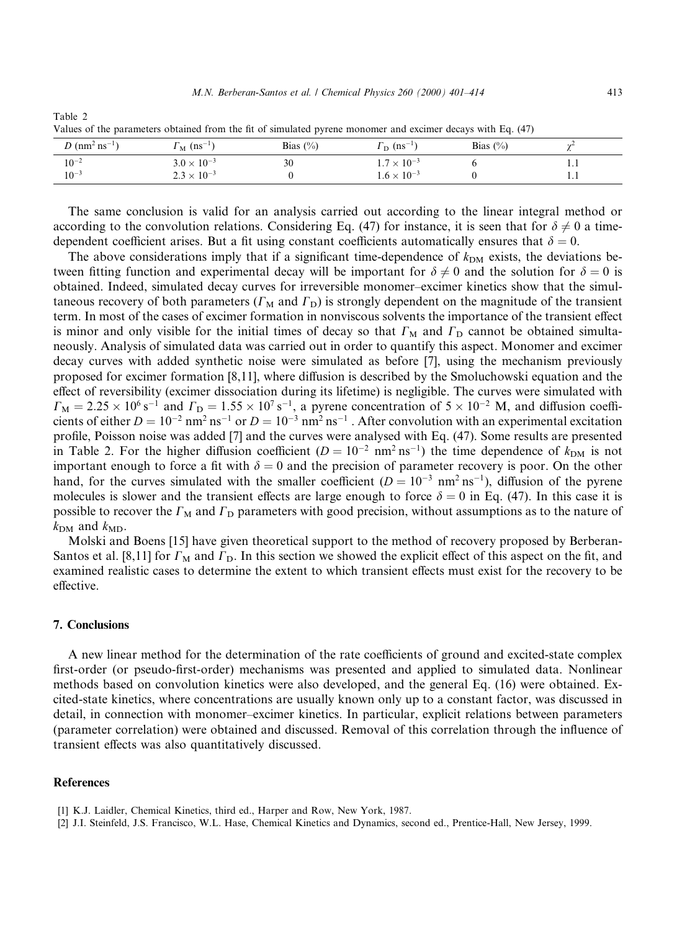| ranges of the parameters counted from the fit of simulated pyrene monomer and exemple weavy man Eq. (17) |                                     |              |                                     |             |        |  |  |  |
|----------------------------------------------------------------------------------------------------------|-------------------------------------|--------------|-------------------------------------|-------------|--------|--|--|--|
| <i>D</i> (nm <sup>2</sup> ns <sup>-1</sup> )                                                             | $\Gamma_{\rm M}$ (ns <sup>-1)</sup> | Bias $(\% )$ | $\Gamma_{\rm D}$ (ns <sup>-1)</sup> | Bias $(\%)$ | $\sim$ |  |  |  |
| $10^{-2}$                                                                                                | $3.0 \times 10^{-3}$                | 30           | $1.7 \times 10^{-3}$                |             | .      |  |  |  |
| $10^{-3}$                                                                                                | $2.3 \times 10^{-3}$                |              | $1.6 \times 10^{-3}$                |             |        |  |  |  |

Table 2 Values of the parameters obtained from the fit of simulated pyrene monomer and excimer decays with Eq. (47)

The same conclusion is valid for an analysis carried out according to the linear integral method or according to the convolution relations. Considering Eq. (47) for instance, it is seen that for  $\delta \neq 0$  a timedependent coefficient arises. But a fit using constant coefficients automatically ensures that  $\delta = 0$ .

The above considerations imply that if a significant time-dependence of  $k_{DM}$  exists, the deviations between fitting function and experimental decay will be important for  $\delta \neq 0$  and the solution for  $\delta = 0$  is obtained. Indeed, simulated decay curves for irreversible monomer-excimer kinetics show that the simultaneous recovery of both parameters ( $\Gamma_M$  and  $\Gamma_D$ ) is strongly dependent on the magnitude of the transient term. In most of the cases of excimer formation in nonviscous solvents the importance of the transient effect is minor and only visible for the initial times of decay so that  $\Gamma_M$  and  $\Gamma_D$  cannot be obtained simultaneously. Analysis of simulated data was carried out in order to quantify this aspect. Monomer and excimer decay curves with added synthetic noise were simulated as before [7], using the mechanism previously proposed for excimer formation  $[8,11]$ , where diffusion is described by the Smoluchowski equation and the effect of reversibility (excimer dissociation during its lifetime) is negligible. The curves were simulated with  $\Gamma_M = 2.25 \times 10^6 \text{ s}^{-1}$  and  $\Gamma_D = 1.55 \times 10^7 \text{ s}^{-1}$ , a pyrene concentration of  $5 \times 10^{-2}$  M, and diffusion coefficients of either  $D = 10^{-2}$  nm<sup>2</sup> ns<sup>-1</sup> or  $D = 10^{-3}$  nm<sup>2</sup> ns<sup>-1</sup>. After convolution with an experimental excitation profile, Poisson noise was added [7] and the curves were analysed with Eq. (47). Some results are presented in Table 2. For the higher diffusion coefficient ( $D = 10^{-2}$  nm<sup>2</sup> ns<sup>-1</sup>) the time dependence of  $k_{DM}$  is not important enough to force a fit with  $\delta = 0$  and the precision of parameter recovery is poor. On the other hand, for the curves simulated with the smaller coefficient ( $D = 10^{-3}$  nm<sup>2</sup> ns<sup>-1</sup>), diffusion of the pyrene molecules is slower and the transient effects are large enough to force  $\delta = 0$  in Eq. (47). In this case it is possible to recover the  $\Gamma_{\text{M}}$  and  $\Gamma_{\text{D}}$  parameters with good precision, without assumptions as to the nature of  $k_{DM}$  and  $k_{MD}$ .

Molski and Boens [15] have given theoretical support to the method of recovery proposed by Berberan-Santos et al. [8,11] for  $\Gamma_{\rm M}$  and  $\Gamma_{\rm D}$ . In this section we showed the explicit effect of this aspect on the fit, and examined realistic cases to determine the extent to which transient effects must exist for the recovery to be effective.

# 7. Conclusions

A new linear method for the determination of the rate coefficients of ground and excited-state complex first-order (or pseudo-first-order) mechanisms was presented and applied to simulated data. Nonlinear methods based on convolution kinetics were also developed, and the general Eq. (16) were obtained. Excited-state kinetics, where concentrations are usually known only up to a constant factor, was discussed in detail, in connection with monomer-excimer kinetics. In particular, explicit relations between parameters (parameter correlation) were obtained and discussed. Removal of this correlation through the influence of transient effects was also quantitatively discussed.

# References

[2] J.I. Steinfeld, J.S. Francisco, W.L. Hase, Chemical Kinetics and Dynamics, second ed., Prentice-Hall, New Jersey, 1999.

<sup>[1]</sup> K.J. Laidler, Chemical Kinetics, third ed., Harper and Row, New York, 1987.